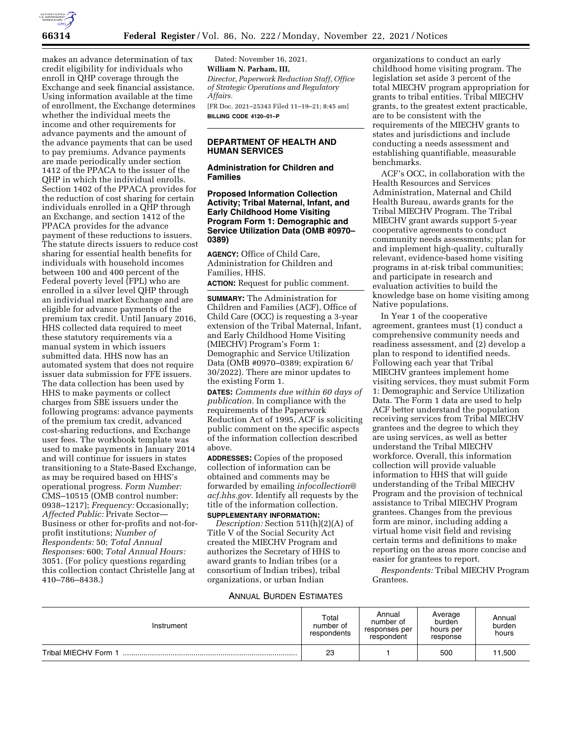

makes an advance determination of tax credit eligibility for individuals who enroll in QHP coverage through the Exchange and seek financial assistance. Using information available at the time of enrollment, the Exchange determines whether the individual meets the income and other requirements for advance payments and the amount of the advance payments that can be used to pay premiums. Advance payments are made periodically under section 1412 of the PPACA to the issuer of the QHP in which the individual enrolls. Section 1402 of the PPACA provides for the reduction of cost sharing for certain individuals enrolled in a QHP through an Exchange, and section 1412 of the PPACA provides for the advance payment of these reductions to issuers. The statute directs issuers to reduce cost sharing for essential health benefits for individuals with household incomes between 100 and 400 percent of the Federal poverty level (FPL) who are enrolled in a silver level QHP through an individual market Exchange and are eligible for advance payments of the premium tax credit. Until January 2016, HHS collected data required to meet these statutory requirements via a manual system in which issuers submitted data. HHS now has an automated system that does not require issuer data submission for FFE issuers. The data collection has been used by HHS to make payments or collect charges from SBE issuers under the following programs: advance payments of the premium tax credit, advanced cost-sharing reductions, and Exchange user fees. The workbook template was used to make payments in January 2014 and will continue for issuers in states transitioning to a State-Based Exchange, as may be required based on HHS's operational progress. *Form Number:*  CMS–10515 (OMB control number: 0938–1217); *Frequency:* Occasionally; *Affected Public:* Private Sector— Business or other for-profits and not-forprofit institutions; *Number of Respondents:* 50; *Total Annual Responses:* 600; *Total Annual Hours:*  3051. (For policy questions regarding this collection contact Christelle Jang at 410–786–8438.)

Dated: November 16, 2021. **William N. Parham, III,**  *Director, Paperwork Reduction Staff, Office of Strategic Operations and Regulatory Affairs.*  [FR Doc. 2021–25343 Filed 11–19–21; 8:45 am] **BILLING CODE 4120–01–P** 

#### **DEPARTMENT OF HEALTH AND HUMAN SERVICES**

### **Administration for Children and Families**

**Proposed Information Collection Activity; Tribal Maternal, Infant, and Early Childhood Home Visiting Program Form 1: Demographic and Service Utilization Data (OMB #0970– 0389)** 

**AGENCY:** Office of Child Care, Administration for Children and Families, HHS.

**ACTION:** Request for public comment.

**SUMMARY:** The Administration for Children and Families (ACF), Office of Child Care (OCC) is requesting a 3-year extension of the Tribal Maternal, Infant, and Early Childhood Home Visiting (MIECHV) Program's Form 1: Demographic and Service Utilization Data (OMB #0970–0389; expiration 6/ 30/2022). There are minor updates to the existing Form 1.

**DATES:** *Comments due within 60 days of publication.* In compliance with the requirements of the Paperwork Reduction Act of 1995, ACF is soliciting public comment on the specific aspects of the information collection described above.

**ADDRESSES:** Copies of the proposed collection of information can be obtained and comments may be forwarded by emailing *[infocollection@](mailto:infocollection@acf.hhs.gov) [acf.hhs.gov.](mailto:infocollection@acf.hhs.gov)* Identify all requests by the title of the information collection.

### **SUPPLEMENTARY INFORMATION:**

*Description:* Section 511(h)(2)(A) of Title V of the Social Security Act created the MIECHV Program and authorizes the Secretary of HHS to award grants to Indian tribes (or a consortium of Indian tribes), tribal organizations, or urban Indian

organizations to conduct an early childhood home visiting program. The legislation set aside 3 percent of the total MIECHV program appropriation for grants to tribal entities. Tribal MIECHV grants, to the greatest extent practicable, are to be consistent with the requirements of the MIECHV grants to states and jurisdictions and include conducting a needs assessment and establishing quantifiable, measurable benchmarks.

ACF's OCC, in collaboration with the Health Resources and Services Administration, Maternal and Child Health Bureau, awards grants for the Tribal MIECHV Program. The Tribal MIECHV grant awards support 5-year cooperative agreements to conduct community needs assessments; plan for and implement high-quality, culturally relevant, evidence-based home visiting programs in at-risk tribal communities; and participate in research and evaluation activities to build the knowledge base on home visiting among Native populations.

In Year 1 of the cooperative agreement, grantees must (1) conduct a comprehensive community needs and readiness assessment, and (2) develop a plan to respond to identified needs. Following each year that Tribal MIECHV grantees implement home visiting services, they must submit Form 1: Demographic and Service Utilization Data. The Form 1 data are used to help ACF better understand the population receiving services from Tribal MIECHV grantees and the degree to which they are using services, as well as better understand the Tribal MIECHV workforce. Overall, this information collection will provide valuable information to HHS that will guide understanding of the Tribal MIECHV Program and the provision of technical assistance to Tribal MIECHV Program grantees. Changes from the previous form are minor, including adding a virtual home visit field and revising certain terms and definitions to make reporting on the areas more concise and easier for grantees to report.

*Respondents:* Tribal MIECHV Program Grantees.

#### ANNUAL BURDEN ESTIMATES

| Instrument           | Total<br>number of<br>respondents | Annual<br>number of<br>responses per<br>respondent | Average<br>burden<br>hours per<br>response | Annual<br>burden<br>hours |
|----------------------|-----------------------------------|----------------------------------------------------|--------------------------------------------|---------------------------|
| Tribal MIECHV Form 1 | 23                                |                                                    | 500                                        | 11,500                    |